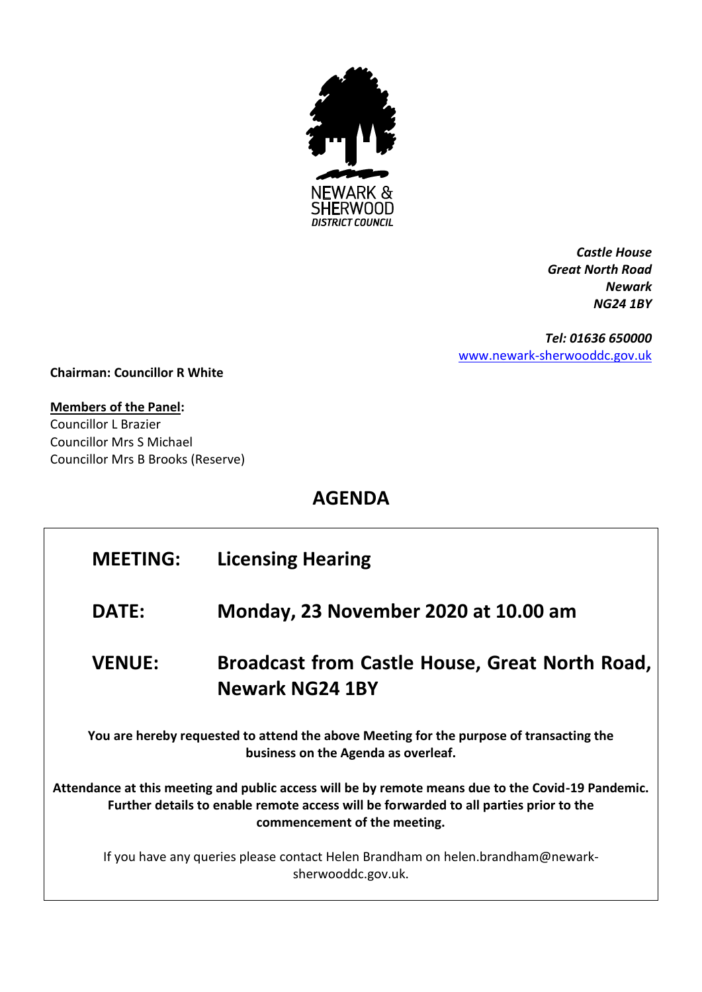

*Castle House Great North Road Newark NG24 1BY*

*Tel: 01636 650000* [www.newark-sherwooddc.gov.uk](http://www.newark-sherwooddc.gov.uk/)

**Chairman: Councillor R White**

## **Members of the Panel:**

Councillor L Brazier Councillor Mrs S Michael Councillor Mrs B Brooks (Reserve)

## **AGENDA**

| <b>MEETING:</b>                                                                                                                                                                                                             | <b>Licensing Hearing</b>                                                 |  |  |  |
|-----------------------------------------------------------------------------------------------------------------------------------------------------------------------------------------------------------------------------|--------------------------------------------------------------------------|--|--|--|
| DATE:                                                                                                                                                                                                                       | Monday, 23 November 2020 at 10.00 am                                     |  |  |  |
| <b>VENUE:</b>                                                                                                                                                                                                               | <b>Broadcast from Castle House, Great North Road,</b><br>Newark NG24 1BY |  |  |  |
| You are hereby requested to attend the above Meeting for the purpose of transacting the<br>business on the Agenda as overleaf.                                                                                              |                                                                          |  |  |  |
| Attendance at this meeting and public access will be by remote means due to the Covid-19 Pandemic.<br>Further details to enable remote access will be forwarded to all parties prior to the<br>commencement of the meeting. |                                                                          |  |  |  |
| If you have any queries please contact Helen Brandham on helen.brandham@newark-<br>sherwooddc.gov.uk.                                                                                                                       |                                                                          |  |  |  |